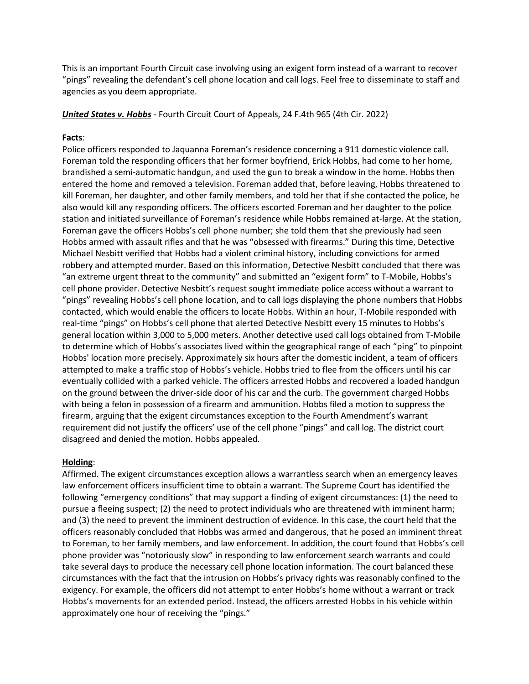This is an important Fourth Circuit case involving using an exigent form instead of a warrant to recover "pings" revealing the defendant's cell phone location and call logs. Feel free to disseminate to staff and agencies as you deem appropriate.

## *United States v. Hobbs* - Fourth Circuit Court of Appeals, 24 F.4th 965 (4th Cir. 2022)

## **Facts**:

Police officers responded to Jaquanna Foreman's residence concerning a 911 domestic violence call. Foreman told the responding officers that her former boyfriend, Erick Hobbs, had come to her home, brandished a semi-automatic handgun, and used the gun to break a window in the home. Hobbs then entered the home and removed a television. Foreman added that, before leaving, Hobbs threatened to kill Foreman, her daughter, and other family members, and told her that if she contacted the police, he also would kill any responding officers. The officers escorted Foreman and her daughter to the police station and initiated surveillance of Foreman's residence while Hobbs remained at-large. At the station, Foreman gave the officers Hobbs's cell phone number; she told them that she previously had seen Hobbs armed with assault rifles and that he was "obsessed with firearms." During this time, Detective Michael Nesbitt verified that Hobbs had a violent criminal history, including convictions for armed robbery and attempted murder. Based on this information, Detective Nesbitt concluded that there was "an extreme urgent threat to the community" and submitted an "exigent form" to T-Mobile, Hobbs's cell phone provider. Detective Nesbitt's request sought immediate police access without a warrant to "pings" revealing Hobbs's cell phone location, and to call logs displaying the phone numbers that Hobbs contacted, which would enable the officers to locate Hobbs. Within an hour, T-Mobile responded with real-time "pings" on Hobbs's cell phone that alerted Detective Nesbitt every 15 minutes to Hobbs's general location within 3,000 to 5,000 meters. Another detective used call logs obtained from T-Mobile to determine which of Hobbs's associates lived within the geographical range of each "ping" to pinpoint Hobbs' location more precisely. Approximately six hours after the domestic incident, a team of officers attempted to make a traffic stop of Hobbs's vehicle. Hobbs tried to flee from the officers until his car eventually collided with a parked vehicle. The officers arrested Hobbs and recovered a loaded handgun on the ground between the driver-side door of his car and the curb. The government charged Hobbs with being a felon in possession of a firearm and ammunition. Hobbs filed a motion to suppress the firearm, arguing that the exigent circumstances exception to the Fourth Amendment's warrant requirement did not justify the officers' use of the cell phone "pings" and call log. The district court disagreed and denied the motion. Hobbs appealed.

## **Holding**:

Affirmed. The exigent circumstances exception allows a warrantless search when an emergency leaves law enforcement officers insufficient time to obtain a warrant. The Supreme Court has identified the following "emergency conditions" that may support a finding of exigent circumstances: (1) the need to pursue a fleeing suspect; (2) the need to protect individuals who are threatened with imminent harm; and (3) the need to prevent the imminent destruction of evidence. In this case, the court held that the officers reasonably concluded that Hobbs was armed and dangerous, that he posed an imminent threat to Foreman, to her family members, and law enforcement. In addition, the court found that Hobbs's cell phone provider was "notoriously slow" in responding to law enforcement search warrants and could take several days to produce the necessary cell phone location information. The court balanced these circumstances with the fact that the intrusion on Hobbs's privacy rights was reasonably confined to the exigency. For example, the officers did not attempt to enter Hobbs's home without a warrant or track Hobbs's movements for an extended period. Instead, the officers arrested Hobbs in his vehicle within approximately one hour of receiving the "pings."